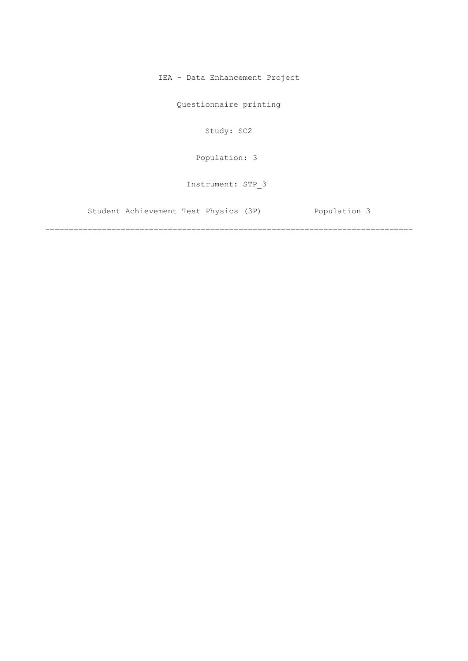IEA - Data Enhancement Project

Questionnaire printing

Study: SC2

[Population: 3](#page-2-0) 

Instrument: STP\_3

[Student Achievement Test Physics \(3P\) Population 3](#page-2-0)

==============================================================================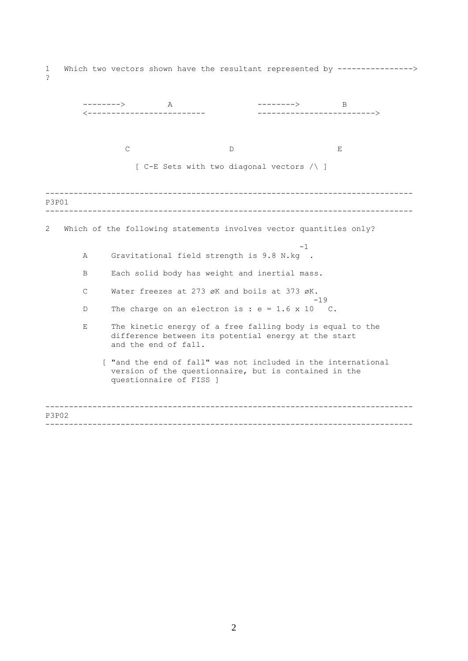1 Which two vectors shown have the resultant represented by ----------------> ?

|              | $\mathbb{A}$ | -------->                  | B                                                                                                                                                                                                                                                                                                                                                                                                                                                                         |
|--------------|--------------|----------------------------|---------------------------------------------------------------------------------------------------------------------------------------------------------------------------------------------------------------------------------------------------------------------------------------------------------------------------------------------------------------------------------------------------------------------------------------------------------------------------|
|              |              |                            | --------------------------->                                                                                                                                                                                                                                                                                                                                                                                                                                              |
|              |              |                            | Е                                                                                                                                                                                                                                                                                                                                                                                                                                                                         |
|              |              |                            |                                                                                                                                                                                                                                                                                                                                                                                                                                                                           |
|              |              |                            |                                                                                                                                                                                                                                                                                                                                                                                                                                                                           |
|              |              |                            |                                                                                                                                                                                                                                                                                                                                                                                                                                                                           |
|              |              |                            |                                                                                                                                                                                                                                                                                                                                                                                                                                                                           |
|              |              |                            |                                                                                                                                                                                                                                                                                                                                                                                                                                                                           |
| A            |              |                            | $-1$                                                                                                                                                                                                                                                                                                                                                                                                                                                                      |
| B            |              |                            |                                                                                                                                                                                                                                                                                                                                                                                                                                                                           |
| $\mathsf{C}$ |              |                            |                                                                                                                                                                                                                                                                                                                                                                                                                                                                           |
| D            |              |                            | $-19$                                                                                                                                                                                                                                                                                                                                                                                                                                                                     |
| Е            |              |                            |                                                                                                                                                                                                                                                                                                                                                                                                                                                                           |
|              |              |                            |                                                                                                                                                                                                                                                                                                                                                                                                                                                                           |
|              | <b>P3P01</b> | --------><br>$\mathcal{C}$ | D<br>[ C-E Sets with two diagonal vectors /\ ]<br>Which of the following statements involves vector quantities only?<br>Gravitational field strength is 9.8 N.kg .<br>Each solid body has weight and inertial mass.<br>Water freezes at 273 øK and boils at 373 øK.<br>The charge on an electron is : $e = 1.6 \times 10$ C.<br>The kinetic energy of a free falling body is equal to the<br>difference between its potential energy at the start<br>and the end of fall. |

------------------------------------------------------------------------------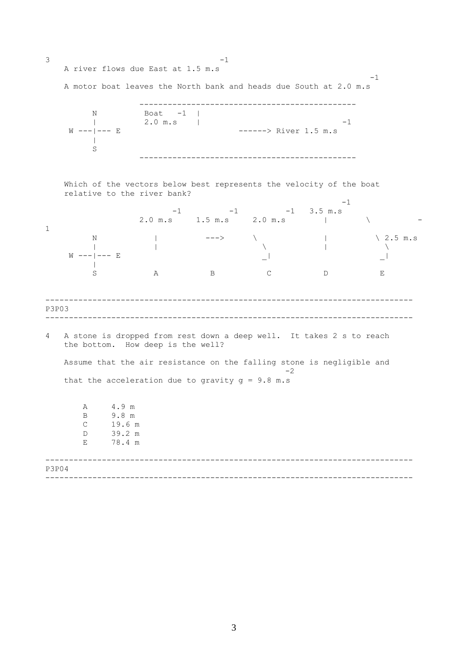<span id="page-2-0"></span>------------------------------------------------------------------------------ ------------------------------------------------------------------------------  $3 -1$ A river flows due East at 1.5 m.s  $-1$ A motor boat leaves the North bank and heads due South at 2.0 m.s ---------------------------------------------- N Boat -1 | | 2.0 m.s | -1 W ---|--- E  $--- 2$  River 1.5 m.s  $\| \cdot \|$ S ---------------------------------------------- Which of the vectors below best represents the velocity of the boat relative to the river bank?  $-1$ <br>3.5 m.s  $-1$   $-1$   $-1$   $-1$   $3.5$  m.s 2.0 m.s 1.5 m.s 2.0 m.s | \ -1 N | ---> \ | \ 2.5 m.s  $\| \$ W ---|--- E  $\qquad \qquad \_ \vert$  $\blacksquare$ S A B C D E P3P03 4 A stone is dropped from rest down a deep well. It takes 2 s to reach the bottom. How deep is the well? Assume that the air resistance on the falling stone is negligible and  $-2$ that the acceleration due to gravity  $g = 9.8$  m.s A 4.9 m

------------------------------------------------------------------------------ ------------------------------------------------------------------------------ B 9.8 m C 19.6 m D 39.2 m E 78.4 m P3P04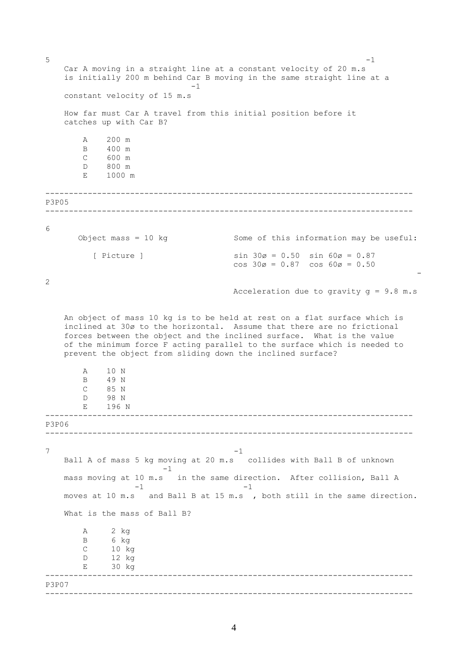```
------------------------------------------------------------------------------ 
------------------------------------------------------------------------------ 
------------------------------------------------------------------------------ 
------------------------------------------------------------------------------ 
                         ------------------------------------------------------------------------------ 
------------------------------------------------------------------------------ 
5 -1
   Car A moving in a straight line at a constant velocity of 20 m.s
   is initially 200 m behind Car B moving in the same straight line at a
                            -1constant velocity of 15 m.s 
   How far must Car A travel from this initial position before it
   catches up with Car B? 
       A 200 m 
       B 400 m 
       C 600 m 
       D 800 m 
       E 1000 m 
P3P05 
6 
      Object mass = 10 \text{ kg} Some of this information may be useful:
         [ Picture ] sin 30\alpha = 0.50 sin 60\alpha = 0.87cos 30ø = 0.87 cos 60ø = 0.50 
                                                                         -
2 
                                     Acceleration due to gravity q = 9.8 m.s
   An object of mass 10 kg is to be held at rest on a flat surface which is
   inclined at 30ø to the horizontal. Assume that there are no frictional 
   forces between the object and the inclined surface. What is the value 
   of the minimum force F acting parallel to the surface which is needed to
   prevent the object from sliding down the inclined surface? 
       A 10 N 
       B 49 N 
       C 85 N 
       D 98 N 
      E 196 N 
P3P06 
7 -1
   Ball A of mass 5 kg moving at 20 m.s collides with Ball B of unknown 
                      -1 
   mass moving at 10 m.s in the same direction. After collision, Ball A
                 -1 -1moves at 10 m.s and Ball B at 15 m.s , both still in the same direction. 
   What is the mass of Ball B? 
       A 2 kg
       B 6 kg
       C 10 kg
       D 12 kg
      E 30 kg 
P3P07
```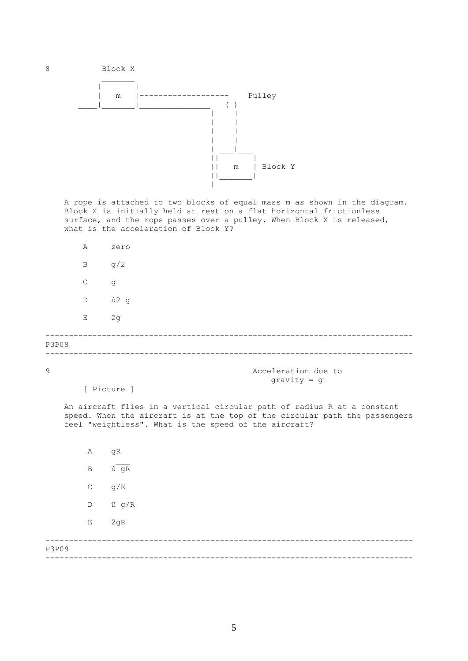

8 Block X



A rope is attached to two blocks of equal mass m as shown in the diagram. Block X is initially held at rest on a flat horizontal frictionless surface, and the rope passes over a pulley. When Block X is released, what is the acceleration of Block Y?

|       | A            | zero |
|-------|--------------|------|
|       | $\, {\bf B}$ | g/2  |
|       | $\mathsf C$  | g    |
|       | D            | û2 g |
|       | $\mathbf E$  | 2g   |
| P3P08 |              |      |
|       |              |      |

9 Acceleration due to gravity = g

[ Picture ]

An aircraft flies in a vertical circular path of radius R at a constant speed. When the aircraft is at the top of the circular path the passengers feel "weightless". What is the speed of the aircraft?

------------------------------------------------------------------------------ A gR  $B$   $\hat{u}$   $qR$  $C$  g/R  $\frac{1}{2}$ D û g/R E 2gR

------------------------------------------------------------------------------ P3P09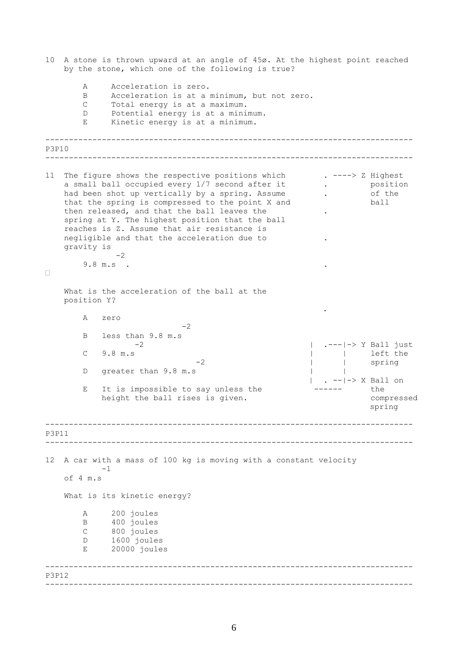------------------------------------------------------------------------------ ------------------------------------------------------------------------------ ------------------------------------------------------------------------------ ------------------------------------------------------------------------------ ------------------------------------------------------------------------------ ------------------------------------------------------------------------------ 10 A stone is thrown upward at an angle of 45ø. At the highest point reached by the stone, which one of the following is true? A Acceleration is zero. B Acceleration is at a minimum, but not zero. C Total energy is at a maximum. D Potential energy is at a minimum. E Kinetic energy is at a minimum. P3P10 11 The figure shows the respective positions which . ----> Z Highest a small ball occupied every 1/7 second after it . . . . . . positional position of the had been shot up vertically by a spring. Assume had been shot up vertically by a spring. Assume .  $\begin{array}{ccc} . & . & . \\ . & . & . \end{array}$  of the that the spring is compressed to the point X and  $\begin{array}{ccc} \hline \end{array}$ that the spring is compressed to the point X and then released, and that the ball leaves the  $\cdot$ spring at Y. The highest position that the ball reaches is Z. Assume that air resistance is negligible and that the acceleration due to . gravity is  $-2$ 9.8 m.s . .  $\Box$ What is the acceleration of the ball at the position Y? . A zero  $-2$ B less than  $9.8 \text{ m.s}$ <br>-2 | .---|-> Y Ball just C 9.8 m.s | left the -2  $|$  | spring D greater than 9.8 m.s | . --|-> X Ball on E It is impossible to say unless the ------ the height the ball rises is given. The compressed compressed spring P3P11 12 A car with a mass of 100 kg is moving with a constant velocity -1 of 4 m.s What is its kinetic energy? A 200 joules B 400 joules C 800 joules D 1600 joules E 20000 joules P3P12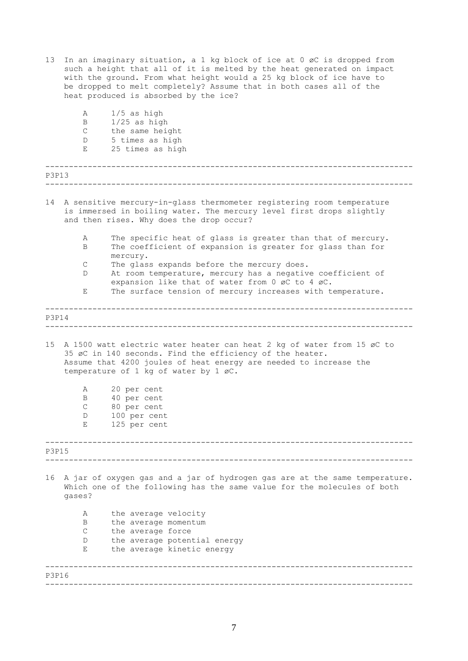| 13    | In an imaginary situation, a 1 kg block of ice at 0 øC is dropped from<br>such a height that all of it is melted by the heat generated on impact<br>with the ground. From what height would a 25 kg block of ice have to<br>be dropped to melt completely? Assume that in both cases all of the<br>heat produced is absorbed by the ice?<br>Α |                                                                                                                                                                                                                                                  |  |  |  |  |  |  |  |  |
|-------|-----------------------------------------------------------------------------------------------------------------------------------------------------------------------------------------------------------------------------------------------------------------------------------------------------------------------------------------------|--------------------------------------------------------------------------------------------------------------------------------------------------------------------------------------------------------------------------------------------------|--|--|--|--|--|--|--|--|
|       | B                                                                                                                                                                                                                                                                                                                                             | $1/5$ as high<br>$1/25$ as high                                                                                                                                                                                                                  |  |  |  |  |  |  |  |  |
|       | $\mathsf C$                                                                                                                                                                                                                                                                                                                                   | the same height                                                                                                                                                                                                                                  |  |  |  |  |  |  |  |  |
|       | D                                                                                                                                                                                                                                                                                                                                             | 5 times as high                                                                                                                                                                                                                                  |  |  |  |  |  |  |  |  |
|       | Е                                                                                                                                                                                                                                                                                                                                             | 25 times as high                                                                                                                                                                                                                                 |  |  |  |  |  |  |  |  |
| P3P13 |                                                                                                                                                                                                                                                                                                                                               |                                                                                                                                                                                                                                                  |  |  |  |  |  |  |  |  |
|       |                                                                                                                                                                                                                                                                                                                                               |                                                                                                                                                                                                                                                  |  |  |  |  |  |  |  |  |
| 14    |                                                                                                                                                                                                                                                                                                                                               | A sensitive mercury-in-glass thermometer registering room temperature<br>is immersed in boiling water. The mercury level first drops slightly<br>and then rises. Why does the drop occur?                                                        |  |  |  |  |  |  |  |  |
|       | Α<br>B                                                                                                                                                                                                                                                                                                                                        | The specific heat of glass is greater than that of mercury.<br>The coefficient of expansion is greater for glass than for                                                                                                                        |  |  |  |  |  |  |  |  |
|       |                                                                                                                                                                                                                                                                                                                                               | mercury.                                                                                                                                                                                                                                         |  |  |  |  |  |  |  |  |
|       | C<br>D                                                                                                                                                                                                                                                                                                                                        | The glass expands before the mercury does.                                                                                                                                                                                                       |  |  |  |  |  |  |  |  |
|       |                                                                                                                                                                                                                                                                                                                                               | At room temperature, mercury has a negative coefficient of<br>expansion like that of water from 0 øC to 4 øC.                                                                                                                                    |  |  |  |  |  |  |  |  |
|       | Е                                                                                                                                                                                                                                                                                                                                             | The surface tension of mercury increases with temperature.                                                                                                                                                                                       |  |  |  |  |  |  |  |  |
|       |                                                                                                                                                                                                                                                                                                                                               |                                                                                                                                                                                                                                                  |  |  |  |  |  |  |  |  |
| P3P14 |                                                                                                                                                                                                                                                                                                                                               |                                                                                                                                                                                                                                                  |  |  |  |  |  |  |  |  |
| 15    |                                                                                                                                                                                                                                                                                                                                               | A 1500 watt electric water heater can heat 2 kg of water from 15 øC to<br>35 øC in 140 seconds. Find the efficiency of the heater.<br>Assume that 4200 joules of heat energy are needed to increase the<br>temperature of 1 kg of water by 1 øC. |  |  |  |  |  |  |  |  |
|       | Α                                                                                                                                                                                                                                                                                                                                             | 20 per cent                                                                                                                                                                                                                                      |  |  |  |  |  |  |  |  |
|       | Β                                                                                                                                                                                                                                                                                                                                             | 40 per cent                                                                                                                                                                                                                                      |  |  |  |  |  |  |  |  |
|       | C.                                                                                                                                                                                                                                                                                                                                            | 80 per cent                                                                                                                                                                                                                                      |  |  |  |  |  |  |  |  |
|       | D<br>Ε                                                                                                                                                                                                                                                                                                                                        | 100 per cent<br>125 per cent                                                                                                                                                                                                                     |  |  |  |  |  |  |  |  |
| P3P15 |                                                                                                                                                                                                                                                                                                                                               |                                                                                                                                                                                                                                                  |  |  |  |  |  |  |  |  |
|       |                                                                                                                                                                                                                                                                                                                                               |                                                                                                                                                                                                                                                  |  |  |  |  |  |  |  |  |
| 16    | gases?                                                                                                                                                                                                                                                                                                                                        | A jar of oxygen gas and a jar of hydrogen gas are at the same temperature.<br>Which one of the following has the same value for the molecules of both                                                                                            |  |  |  |  |  |  |  |  |
|       | Α                                                                                                                                                                                                                                                                                                                                             | the average velocity                                                                                                                                                                                                                             |  |  |  |  |  |  |  |  |
|       | B                                                                                                                                                                                                                                                                                                                                             | the average momentum                                                                                                                                                                                                                             |  |  |  |  |  |  |  |  |
|       | $\mathsf{C}$                                                                                                                                                                                                                                                                                                                                  | the average force                                                                                                                                                                                                                                |  |  |  |  |  |  |  |  |
|       | D                                                                                                                                                                                                                                                                                                                                             | the average potential energy                                                                                                                                                                                                                     |  |  |  |  |  |  |  |  |
|       | Е                                                                                                                                                                                                                                                                                                                                             | the average kinetic energy                                                                                                                                                                                                                       |  |  |  |  |  |  |  |  |
| P3P16 |                                                                                                                                                                                                                                                                                                                                               |                                                                                                                                                                                                                                                  |  |  |  |  |  |  |  |  |
|       |                                                                                                                                                                                                                                                                                                                                               |                                                                                                                                                                                                                                                  |  |  |  |  |  |  |  |  |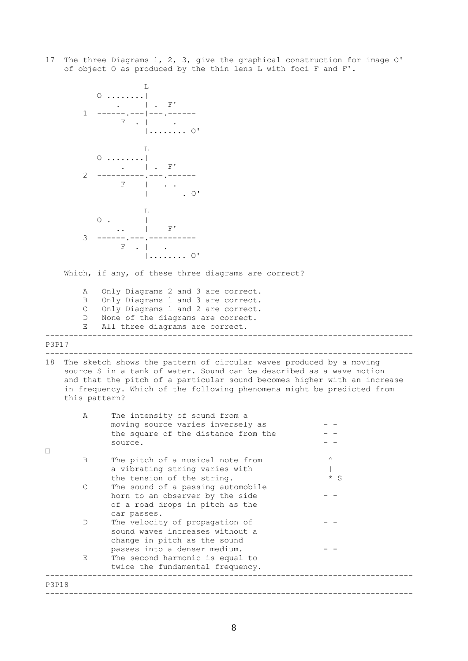17 The three Diagrams 1, 2, 3, give the graphical construction for image O' of object O as produced by the thin lens L with foci F and F'.

|              |                | 0<br>F'                                                                                                                                                                                                                                                                                                                                                                           |          |
|--------------|----------------|-----------------------------------------------------------------------------------------------------------------------------------------------------------------------------------------------------------------------------------------------------------------------------------------------------------------------------------------------------------------------------------|----------|
|              | 1              |                                                                                                                                                                                                                                                                                                                                                                                   |          |
|              |                | F<br>. 0'                                                                                                                                                                                                                                                                                                                                                                         |          |
|              |                | L<br>$\circ$                                                                                                                                                                                                                                                                                                                                                                      |          |
|              |                | F'                                                                                                                                                                                                                                                                                                                                                                                |          |
|              | $\overline{2}$ | F                                                                                                                                                                                                                                                                                                                                                                                 |          |
|              |                | $. \circ$                                                                                                                                                                                                                                                                                                                                                                         |          |
|              |                | L                                                                                                                                                                                                                                                                                                                                                                                 |          |
|              |                | $\circ$ .<br>F'                                                                                                                                                                                                                                                                                                                                                                   |          |
|              | 3              | F                                                                                                                                                                                                                                                                                                                                                                                 |          |
|              |                | $\bigcap$ $\bigcap$ $\bigcap$ $\bigcap$ $\bigcap$ $\bigcap$ $\bigcap$ $\bigcap$ $\bigcap$ $\bigcap$ $\bigcap$ $\bigcap$ $\bigcap$ $\bigcap$ $\bigcap$ $\bigcap$ $\bigcap$ $\bigcap$ $\bigcap$ $\bigcap$ $\bigcap$ $\bigcap$ $\bigcap$ $\bigcap$ $\bigcap$ $\bigcap$ $\bigcap$ $\bigcap$ $\bigcap$ $\bigcap$ $\bigcap$ $\bigcap$ $\bigcap$ $\bigcap$ $\bigcap$ $\bigcap$ $\bigcap$ |          |
|              |                | Which, if any, of these three diagrams are correct?                                                                                                                                                                                                                                                                                                                               |          |
|              | Α              | Only Diagrams 2 and 3 are correct.                                                                                                                                                                                                                                                                                                                                                |          |
|              | Β<br>С         | Only Diagrams 1 and 3 are correct.<br>Only Diagrams 1 and 2 are correct.                                                                                                                                                                                                                                                                                                          |          |
|              | D              | None of the diagrams are correct.                                                                                                                                                                                                                                                                                                                                                 |          |
|              | Е              | All three diagrams are correct.                                                                                                                                                                                                                                                                                                                                                   |          |
| <b>P3P17</b> |                |                                                                                                                                                                                                                                                                                                                                                                                   |          |
|              |                |                                                                                                                                                                                                                                                                                                                                                                                   |          |
| 18           |                | The sketch shows the pattern of circular waves produced by a moving<br>source S in a tank of water. Sound can be described as a wave motion                                                                                                                                                                                                                                       |          |
|              |                | and that the pitch of a particular sound becomes higher with an increase                                                                                                                                                                                                                                                                                                          |          |
|              | this pattern?  | in frequency. Which of the following phenomena might be predicted from                                                                                                                                                                                                                                                                                                            |          |
|              | Α              | The intensity of sound from a                                                                                                                                                                                                                                                                                                                                                     |          |
|              |                | moving source varies inversely as                                                                                                                                                                                                                                                                                                                                                 |          |
|              |                |                                                                                                                                                                                                                                                                                                                                                                                   |          |
|              |                | the square of the distance from the                                                                                                                                                                                                                                                                                                                                               |          |
|              |                | source.                                                                                                                                                                                                                                                                                                                                                                           |          |
|              | B              | The pitch of a musical note from                                                                                                                                                                                                                                                                                                                                                  | $\wedge$ |
|              |                | a vibrating string varies with                                                                                                                                                                                                                                                                                                                                                    |          |
|              |                | the tension of the string.                                                                                                                                                                                                                                                                                                                                                        | $* S$    |
|              | $\mathcal{C}$  | The sound of a passing automobile<br>horn to an observer by the side                                                                                                                                                                                                                                                                                                              |          |
|              |                | of a road drops in pitch as the                                                                                                                                                                                                                                                                                                                                                   |          |
|              |                | car passes.                                                                                                                                                                                                                                                                                                                                                                       |          |
|              | D              | The velocity of propagation of<br>sound waves increases without a                                                                                                                                                                                                                                                                                                                 |          |
|              |                | change in pitch as the sound                                                                                                                                                                                                                                                                                                                                                      |          |
|              |                | passes into a denser medium.                                                                                                                                                                                                                                                                                                                                                      |          |
|              | Е              | The second harmonic is equal to                                                                                                                                                                                                                                                                                                                                                   |          |
|              |                | twice the fundamental frequency.                                                                                                                                                                                                                                                                                                                                                  |          |
| <b>P3P18</b> |                |                                                                                                                                                                                                                                                                                                                                                                                   |          |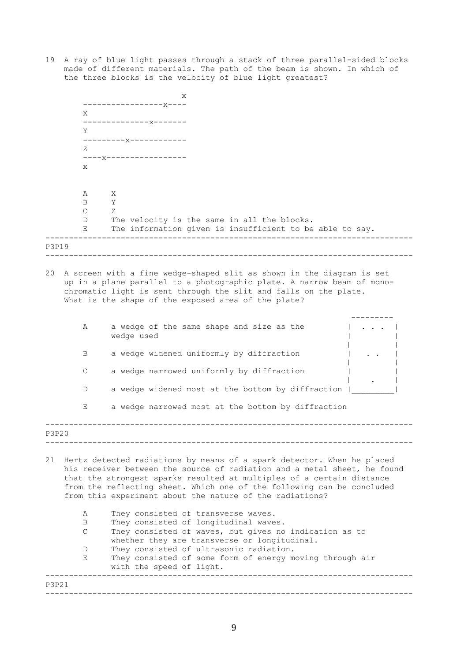19 A ray of blue light passes through a stack of three parallel-sided blocks made of different materials. The path of the beam is shown. In which of the three blocks is the velocity of blue light greatest?

|       |                                 | х                                                                                                                                                                                                                                                                                                                                                                                                                                                                                                                                                                                                                                                                                              |
|-------|---------------------------------|------------------------------------------------------------------------------------------------------------------------------------------------------------------------------------------------------------------------------------------------------------------------------------------------------------------------------------------------------------------------------------------------------------------------------------------------------------------------------------------------------------------------------------------------------------------------------------------------------------------------------------------------------------------------------------------------|
|       | X                               |                                                                                                                                                                                                                                                                                                                                                                                                                                                                                                                                                                                                                                                                                                |
|       |                                 | ------x-------                                                                                                                                                                                                                                                                                                                                                                                                                                                                                                                                                                                                                                                                                 |
|       | Y                               | -----x-------                                                                                                                                                                                                                                                                                                                                                                                                                                                                                                                                                                                                                                                                                  |
|       | Ζ                               |                                                                                                                                                                                                                                                                                                                                                                                                                                                                                                                                                                                                                                                                                                |
|       | X                               | ----x-----------------                                                                                                                                                                                                                                                                                                                                                                                                                                                                                                                                                                                                                                                                         |
|       | Α                               | Χ                                                                                                                                                                                                                                                                                                                                                                                                                                                                                                                                                                                                                                                                                              |
|       | B<br>$\mathsf C$                | Υ<br>Ζ                                                                                                                                                                                                                                                                                                                                                                                                                                                                                                                                                                                                                                                                                         |
|       | D<br>Е                          | The velocity is the same in all the blocks.<br>The information given is insufficient to be able to say.                                                                                                                                                                                                                                                                                                                                                                                                                                                                                                                                                                                        |
| P3P19 |                                 |                                                                                                                                                                                                                                                                                                                                                                                                                                                                                                                                                                                                                                                                                                |
| 20    |                                 | A screen with a fine wedge-shaped slit as shown in the diagram is set<br>up in a plane parallel to a photographic plate. A narrow beam of mono-<br>chromatic light is sent through the slit and falls on the plate.<br>What is the shape of the exposed area of the plate?                                                                                                                                                                                                                                                                                                                                                                                                                     |
|       | Α                               | a wedge of the same shape and size as the<br>wedge used                                                                                                                                                                                                                                                                                                                                                                                                                                                                                                                                                                                                                                        |
|       | B                               | a wedge widened uniformly by diffraction                                                                                                                                                                                                                                                                                                                                                                                                                                                                                                                                                                                                                                                       |
|       | $\mathsf C$                     | a wedge narrowed uniformly by diffraction                                                                                                                                                                                                                                                                                                                                                                                                                                                                                                                                                                                                                                                      |
|       | D                               | a wedge widened most at the bottom by diffraction                                                                                                                                                                                                                                                                                                                                                                                                                                                                                                                                                                                                                                              |
|       | Е                               | a wedge narrowed most at the bottom by diffraction                                                                                                                                                                                                                                                                                                                                                                                                                                                                                                                                                                                                                                             |
| P3P20 |                                 |                                                                                                                                                                                                                                                                                                                                                                                                                                                                                                                                                                                                                                                                                                |
| 21    | Α<br>B<br>$\mathsf C$<br>D<br>Е | Hertz detected radiations by means of a spark detector. When he placed<br>his receiver between the source of radiation and a metal sheet, he found<br>that the strongest sparks resulted at multiples of a certain distance<br>from the reflecting sheet. Which one of the following can be concluded<br>from this experiment about the nature of the radiations?<br>They consisted of transverse waves.<br>They consisted of longitudinal waves.<br>They consisted of waves, but gives no indication as to<br>whether they are transverse or longitudinal.<br>They consisted of ultrasonic radiation.<br>They consisted of some form of energy moving through air<br>with the speed of light. |

------------------------------------------------------------------------------

P3P21

------------------------------------------------------------------------------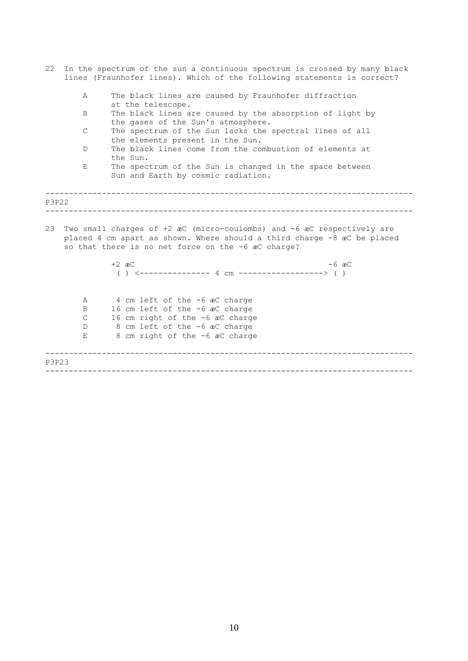| 22           | In the spectrum of the sun a continuous spectrum is crossed by many black<br>lines (Fraunhofer lines). Which of the following statements is correct?                                                    |  |  |  |  |  |
|--------------|---------------------------------------------------------------------------------------------------------------------------------------------------------------------------------------------------------|--|--|--|--|--|
| Α            | The black lines are caused by Fraunhofer diffraction<br>at the telescope.                                                                                                                               |  |  |  |  |  |
| B            | The black lines are caused by the absorption of light by<br>the gases of the Sun's atmosphere.                                                                                                          |  |  |  |  |  |
| $\mathsf{C}$ | The spectrum of the Sun lacks the spectral lines of all<br>the elements present in the Sun.                                                                                                             |  |  |  |  |  |
| D            | The black lines come from the combustion of elements at<br>the Sun.                                                                                                                                     |  |  |  |  |  |
| Е            | The spectrum of the Sun is changed in the space between<br>Sun and Earth by cosmic radiation.                                                                                                           |  |  |  |  |  |
| P3P22        |                                                                                                                                                                                                         |  |  |  |  |  |
| 23           | Two small charges of +2 æC (micro-coulombs) and -6 æC respectively are<br>placed 4 cm apart as shown. Where should a third charge -8 æC be placed<br>so that there is no net force on the -6 æC charge? |  |  |  |  |  |
|              | $+2$ $\text{ac}$<br>$-6$ $\text{ac}$<br>( ) $\leftarrow$ -------------- 4 cm ------------------> ( )                                                                                                    |  |  |  |  |  |
| Α            | 4 cm left of the -6 acC charge                                                                                                                                                                          |  |  |  |  |  |
| Β            | 16 cm left of the -6 æC charge                                                                                                                                                                          |  |  |  |  |  |
| $\mathsf{C}$ | 16 cm right of the -6 aC charge                                                                                                                                                                         |  |  |  |  |  |
| D            | 8 cm left of the -6 aC charge                                                                                                                                                                           |  |  |  |  |  |
| Ε            | 8 cm right of the -6 aC charge                                                                                                                                                                          |  |  |  |  |  |
| P3P23        |                                                                                                                                                                                                         |  |  |  |  |  |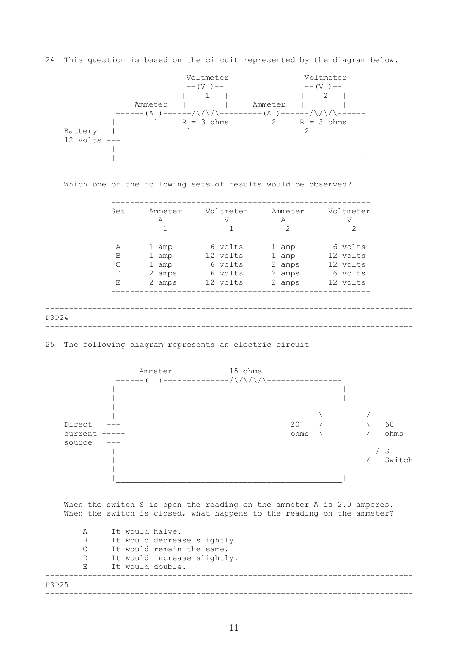24 This question is based on the circuit represented by the diagram below.



| Set | Ammeter<br>Α | Voltmeter<br>V | Ammeter<br>A<br>2 | Voltmeter<br>V<br>2 |
|-----|--------------|----------------|-------------------|---------------------|
| A   | 1<br>amp     | 6 volts        | 1 amp             | 6 volts             |
| B   | 1<br>amp     | 12 volts       | 1 amp             | 12 volts            |
| C   | 1<br>amp     | 6 volts        | 2 amps            | 12 volts            |
| D   | 2 amps       | 6 volts        | 2 amps            | 6 volts             |
| Ε   | 2 amps       | 12 volts       | 2 amps            | 12 volts            |

Which one of the following sets of results would be observed?



25 The following diagram represents an electric circuit



When the switch S is open the reading on the ammeter A is 2.0 amperes. When the switch is closed, what happens to the reading on the ammeter?

------------------------------------------------------------------------------ ------------------------------------------------------------------------------ A It would halve. B It would decrease slightly. C It would remain the same. D It would increase slightly. E It would double. P3P25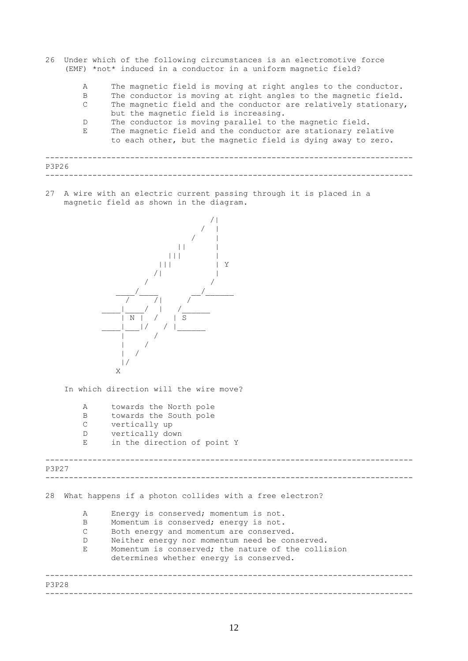- 26 Under which of the following circumstances is an electromotive force (EMF) \*not\* induced in a conductor in a uniform magnetic field?
	- A The magnetic field is moving at right angles to the conductor.
	- B The conductor is moving at right angles to the magnetic field.
	- C The magnetic field and the conductor are relatively stationary, but the magnetic field is increasing.
	- D The conductor is moving parallel to the magnetic field. E The magnetic field and the conductor are stationary relative<br>to each other, but the magnetic field is duing away to zero

|                             |  |  | to each other, but the magnetic field is dying away to zero. |  |  |  |  |
|-----------------------------|--|--|--------------------------------------------------------------|--|--|--|--|
| $\sim$ $\sim$ $\sim$ $\sim$ |  |  |                                                              |  |  |  |  |

27 A wire with an electric current passing through it is placed in a magnetic field as shown in the diagram.



In which direction will the wire move?

- A towards the North pole
- B towards the South pole
- C vertically up
- D vertically down
- E in the direction of point Y

## ------------------------------------------------------------------------------ ------------------------------------------------------------------------------ P3P27

28 What happens if a photon collides with a free electron?

A Energy is conserved; momentum is not.

- B Momentum is conserved; energy is not.
- C Both energy and momentum are conserved.
- D Neither energy nor momentum need be conserved.
- E Momentum is conserved; the nature of the collision

determines whether energy is conserved.